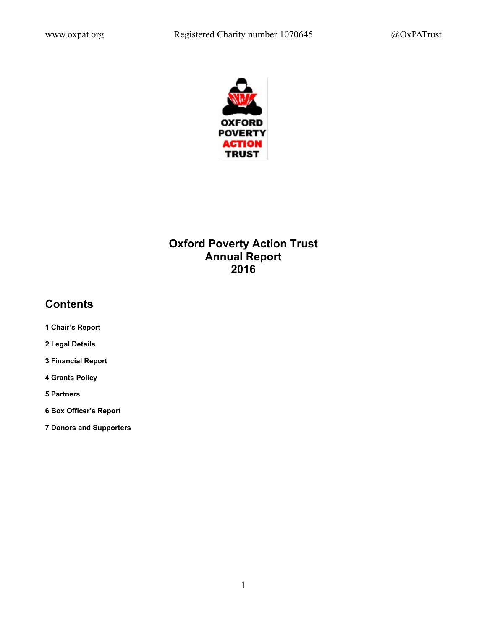

# **Oxford Poverty Action Trust Annual Report 2016**

# **Contents**

- **1 Chair's Report**
- **2 Legal Details**
- **3 Financial Report**
- **4 Grants Policy**
- **5 Partners**
- **6 Box Officer's Report**
- **7 Donors and Supporters**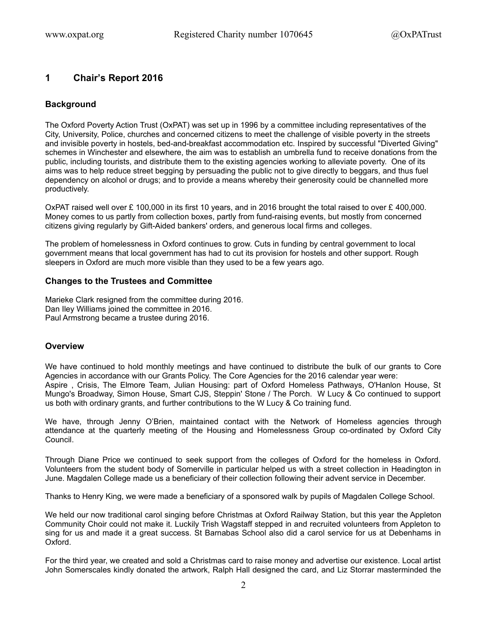# **1 Chair's Report 2016**

# **Background**

The Oxford Poverty Action Trust (OxPAT) was set up in 1996 by a committee including representatives of the City, University, Police, churches and concerned citizens to meet the challenge of visible poverty in the streets and invisible poverty in hostels, bed-and-breakfast accommodation etc. Inspired by successful "Diverted Giving" schemes in Winchester and elsewhere, the aim was to establish an umbrella fund to receive donations from the public, including tourists, and distribute them to the existing agencies working to alleviate poverty. One of its aims was to help reduce street begging by persuading the public not to give directly to beggars, and thus fuel dependency on alcohol or drugs; and to provide a means whereby their generosity could be channelled more productively.

OxPAT raised well over £ 100,000 in its first 10 years, and in 2016 brought the total raised to over £ 400,000. Money comes to us partly from collection boxes, partly from fund-raising events, but mostly from concerned citizens giving regularly by Gift-Aided bankers' orders, and generous local firms and colleges.

The problem of homelessness in Oxford continues to grow. Cuts in funding by central government to local government means that local government has had to cut its provision for hostels and other support. Rough sleepers in Oxford are much more visible than they used to be a few years ago.

### **Changes to the Trustees and Committee**

Marieke Clark resigned from the committee during 2016. Dan Iley Williams joined the committee in 2016. Paul Armstrong became a trustee during 2016.

## **Overview**

We have continued to hold monthly meetings and have continued to distribute the bulk of our grants to Core Agencies in accordance with our Grants Policy. The Core Agencies for the 2016 calendar year were: Aspire , Crisis, The Elmore Team, Julian Housing: part of Oxford Homeless Pathways, O'Hanlon House, St Mungo's Broadway, Simon House, Smart CJS, Steppin' Stone / The Porch. W Lucy & Co continued to support us both with ordinary grants, and further contributions to the W Lucy & Co training fund.

We have, through Jenny O'Brien, maintained contact with the Network of Homeless agencies through attendance at the quarterly meeting of the Housing and Homelessness Group co-ordinated by Oxford City Council.

Through Diane Price we continued to seek support from the colleges of Oxford for the homeless in Oxford. Volunteers from the student body of Somerville in particular helped us with a street collection in Headington in June. Magdalen College made us a beneficiary of their collection following their advent service in December.

Thanks to Henry King, we were made a beneficiary of a sponsored walk by pupils of Magdalen College School.

We held our now traditional carol singing before Christmas at Oxford Railway Station, but this year the Appleton Community Choir could not make it. Luckily Trish Wagstaff stepped in and recruited volunteers from Appleton to sing for us and made it a great success. St Barnabas School also did a carol service for us at Debenhams in Oxford.

For the third year, we created and sold a Christmas card to raise money and advertise our existence. Local artist John Somerscales kindly donated the artwork, Ralph Hall designed the card, and Liz Storrar masterminded the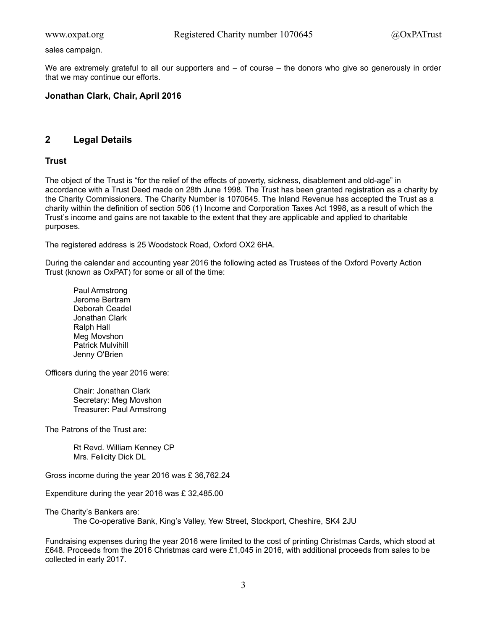sales campaign.

We are extremely grateful to all our supporters and – of course – the donors who give so generously in order that we may continue our efforts.

### **Jonathan Clark, Chair, April 2016**

# **2 Legal Details**

## **Trust**

The object of the Trust is "for the relief of the effects of poverty, sickness, disablement and old-age" in accordance with a Trust Deed made on 28th June 1998. The Trust has been granted registration as a charity by the Charity Commissioners. The Charity Number is 1070645. The Inland Revenue has accepted the Trust as a charity within the definition of section 506 (1) Income and Corporation Taxes Act 1998, as a result of which the Trust's income and gains are not taxable to the extent that they are applicable and applied to charitable purposes.

The registered address is 25 Woodstock Road, Oxford OX2 6HA.

During the calendar and accounting year 2016 the following acted as Trustees of the Oxford Poverty Action Trust (known as OxPAT) for some or all of the time:

Paul Armstrong Jerome Bertram Deborah Ceadel Jonathan Clark Ralph Hall Meg Movshon Patrick Mulvihill Jenny O'Brien

Officers during the year 2016 were:

Chair: Jonathan Clark Secretary: Meg Movshon Treasurer: Paul Armstrong

The Patrons of the Trust are:

Rt Revd. William Kenney CP Mrs. Felicity Dick DL

Gross income during the year 2016 was £ 36,762.24

Expenditure during the year 2016 was £ 32,485.00

The Charity's Bankers are:

The Co-operative Bank, King's Valley, Yew Street, Stockport, Cheshire, SK4 2JU

Fundraising expenses during the year 2016 were limited to the cost of printing Christmas Cards, which stood at £648. Proceeds from the 2016 Christmas card were £1,045 in 2016, with additional proceeds from sales to be collected in early 2017.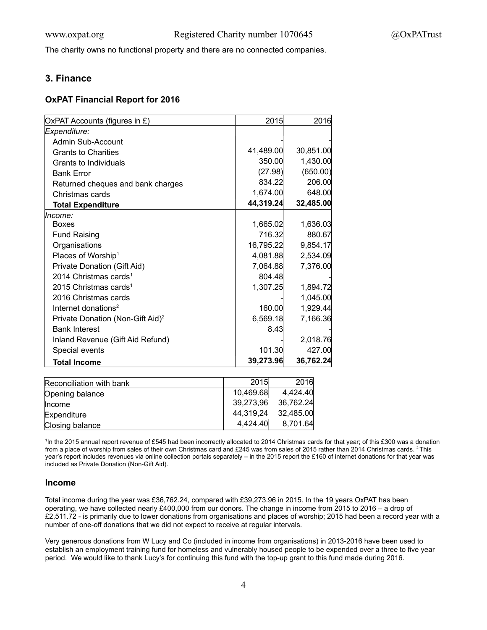The charity owns no functional property and there are no connected companies.

# **3. Finance**

## **OxPAT Financial Report for 2016**

| OxPAT Accounts (figures in £)                | 2015      | 2016      |
|----------------------------------------------|-----------|-----------|
| Expenditure:                                 |           |           |
| Admin Sub-Account                            |           |           |
| <b>Grants to Charities</b>                   | 41,489.00 | 30,851.00 |
| Grants to Individuals                        | 350.00    | 1,430.00  |
| <b>Bank Error</b>                            | (27.98)   | (650.00)  |
| Returned cheques and bank charges            | 834.22    | 206.00    |
| Christmas cards                              | 1,674.00  | 648.00    |
| <b>Total Expenditure</b>                     | 44,319.24 | 32,485.00 |
| lncome:                                      |           |           |
| <b>Boxes</b>                                 | 1,665.02  | 1,636.03  |
| <b>Fund Raising</b>                          | 716.32    | 880.67    |
| Organisations                                | 16,795.22 | 9,854.17  |
| Places of Worship <sup>1</sup>               | 4,081.88  | 2,534.09  |
| Private Donation (Gift Aid)                  | 7,064.88  | 7,376.00  |
| 2014 Christmas cards <sup>1</sup>            | 804.48    |           |
| 2015 Christmas cards <sup>1</sup>            | 1,307.25  | 1,894.72  |
| 2016 Christmas cards                         |           | 1,045.00  |
| Internet donations <sup>2</sup>              | 160.00    | 1,929.44  |
| Private Donation (Non-Gift Aid) <sup>2</sup> | 6,569.18  | 7,166.36  |
| <b>Bank Interest</b>                         | 8.43      |           |
| Inland Revenue (Gift Aid Refund)             |           | 2,018.76  |
| Special events                               | 101.30    | 427.00    |
| <b>Total Income</b>                          | 39,273.96 | 36,762.24 |

| Reconciliation with bank | 2015      | 2016      |
|--------------------------|-----------|-----------|
| Opening balance          | 10.469.68 | 4,424.40  |
| <b>Income</b>            | 39,273,96 | 36,762.24 |
| Expenditure              | 44,319,24 | 32,485.00 |
| Closing balance          | 4.424.40  | 8,701.64  |

1 In the 2015 annual report revenue of £545 had been incorrectly allocated to 2014 Christmas cards for that year; of this £300 was a donation from a place of worship from sales of their own Christmas card and £245 was from sales of 2015 rather than 2014 Christmas cards. <sup>2</sup> This year's report includes revenues via online collection portals separately – in the 2015 report the £160 of internet donations for that year was included as Private Donation (Non-Gift Aid).

### **Income**

Total income during the year was £36,762.24, compared with £39,273.96 in 2015. In the 19 years OxPAT has been operating, we have collected nearly £400,000 from our donors. The change in income from 2015 to 2016 – a drop of £2,511.72 - is primarily due to lower donations from organisations and places of worship; 2015 had been a record year with a number of one-off donations that we did not expect to receive at regular intervals.

Very generous donations from W Lucy and Co (included in income from organisations) in 2013-2016 have been used to establish an employment training fund for homeless and vulnerably housed people to be expended over a three to five year period. We would like to thank Lucy's for continuing this fund with the top-up grant to this fund made during 2016.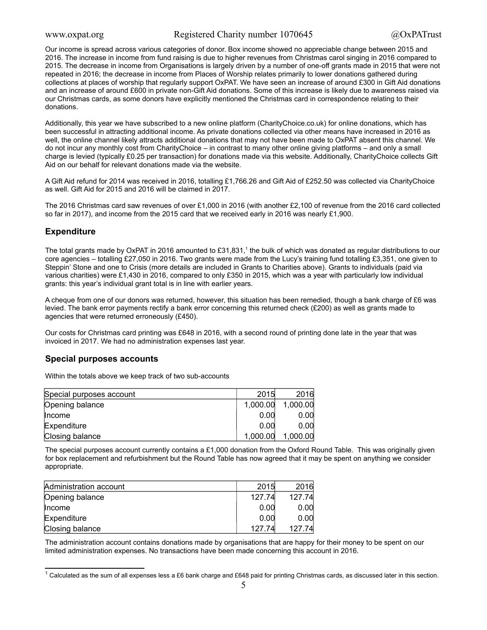Our income is spread across various categories of donor. Box income showed no appreciable change between 2015 and 2016. The increase in income from fund raising is due to higher revenues from Christmas carol singing in 2016 compared to 2015. The decrease in income from Organisations is largely driven by a number of one-off grants made in 2015 that were not repeated in 2016; the decrease in income from Places of Worship relates primarily to lower donations gathered during collections at places of worship that regularly support OxPAT. We have seen an increase of around £300 in Gift Aid donations and an increase of around £600 in private non-Gift Aid donations. Some of this increase is likely due to awareness raised via our Christmas cards, as some donors have explicitly mentioned the Christmas card in correspondence relating to their donations.

Additionally, this year we have subscribed to a new online platform (CharityChoice.co.uk) for online donations, which has been successful in attracting additional income. As private donations collected via other means have increased in 2016 as well, the online channel likely attracts additional donations that may not have been made to OxPAT absent this channel. We do not incur any monthly cost from CharityChoice – in contrast to many other online giving platforms – and only a small charge is levied (typically £0.25 per transaction) for donations made via this website. Additionally, CharityChoice collects Gift Aid on our behalf for relevant donations made via the website.

A Gift Aid refund for 2014 was received in 2016, totalling £1,766.26 and Gift Aid of £252.50 was collected via CharityChoice as well. Gift Aid for 2015 and 2016 will be claimed in 2017.

The 2016 Christmas card saw revenues of over £1,000 in 2016 (with another £2,100 of revenue from the 2016 card collected so far in 2017), and income from the 2015 card that we received early in 2016 was nearly £1,900.

# **Expenditure**

The total grants made by OxPAT in 20[1](#page-4-0)6 amounted to £31,831,<sup>1</sup> the bulk of which was donated as regular distributions to our core agencies – totalling £27,050 in 2016. Two grants were made from the Lucy's training fund totalling £3,351, one given to Steppin' Stone and one to Crisis (more details are included in Grants to Charities above). Grants to individuals (paid via various charities) were £1,430 in 2016, compared to only £350 in 2015, which was a year with particularly low individual grants: this year's individual grant total is in line with earlier years.

A cheque from one of our donors was returned, however, this situation has been remedied, though a bank charge of £6 was levied. The bank error payments rectify a bank error concerning this returned check (£200) as well as grants made to agencies that were returned erroneously (£450).

Our costs for Christmas card printing was £648 in 2016, with a second round of printing done late in the year that was invoiced in 2017. We had no administration expenses last year.

### **Special purposes accounts**

Within the totals above we keep track of two sub-accounts

| Special purposes account | 2015     | 2016     |
|--------------------------|----------|----------|
| Opening balance          | 1,000.00 | 1,000.00 |
| Income                   | 0.00     | 0.00     |
| Expenditure              | 0.00     | 0.00     |
| Closing balance          | 1,000.00 | 1,000.00 |

The special purposes account currently contains a £1,000 donation from the Oxford Round Table. This was originally given for box replacement and refurbishment but the Round Table has now agreed that it may be spent on anything we consider appropriate.

| Administration account | 2015   | 2016   |
|------------------------|--------|--------|
| Opening balance        | 127.74 | 127.74 |
| <b>Income</b>          | 0.00   | 0.00   |
| Expenditure            | 0.00   | 0.00   |
| Closing balance        | 127.74 | 127.74 |

The administration account contains donations made by organisations that are happy for their money to be spent on our limited administration expenses. No transactions have been made concerning this account in 2016.

<span id="page-4-0"></span> $1$  Calculated as the sum of all expenses less a £6 bank charge and £648 paid for printing Christmas cards, as discussed later in this section.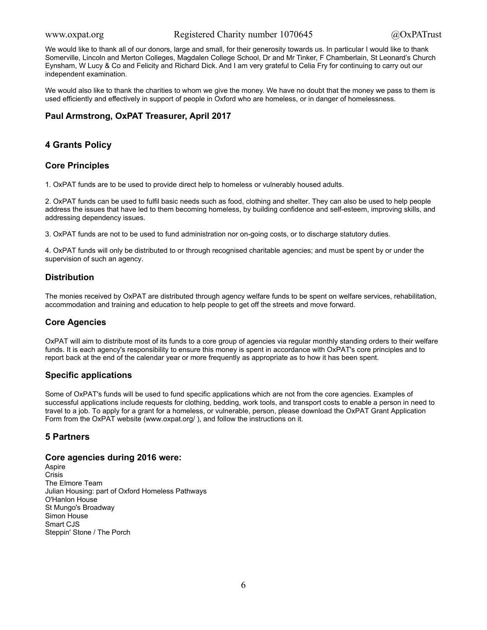We would like to thank all of our donors, large and small, for their generosity towards us. In particular I would like to thank Somerville, Lincoln and Merton Colleges, Magdalen College School, Dr and Mr Tinker, F Chamberlain, St Leonard's Church Eynsham, W Lucy & Co and Felicity and Richard Dick. And I am very grateful to Celia Fry for continuing to carry out our independent examination.

We would also like to thank the charities to whom we give the money. We have no doubt that the money we pass to them is used efficiently and effectively in support of people in Oxford who are homeless, or in danger of homelessness.

# **Paul Armstrong, OxPAT Treasurer, April 2017**

# **4 Grants Policy**

# **Core Principles**

1. OxPAT funds are to be used to provide direct help to homeless or vulnerably housed adults.

2. OxPAT funds can be used to fulfil basic needs such as food, clothing and shelter. They can also be used to help people address the issues that have led to them becoming homeless, by building confidence and self-esteem, improving skills, and addressing dependency issues.

3. OxPAT funds are not to be used to fund administration nor on-going costs, or to discharge statutory duties.

4. OxPAT funds will only be distributed to or through recognised charitable agencies; and must be spent by or under the supervision of such an agency.

# **Distribution**

The monies received by OxPAT are distributed through agency welfare funds to be spent on welfare services, rehabilitation, accommodation and training and education to help people to get off the streets and move forward.

# **Core Agencies**

OxPAT will aim to distribute most of its funds to a core group of agencies via regular monthly standing orders to their welfare funds. It is each agency's responsibility to ensure this money is spent in accordance with OxPAT's core principles and to report back at the end of the calendar year or more frequently as appropriate as to how it has been spent.

### **Specific applications**

Some of OxPAT's funds will be used to fund specific applications which are not from the core agencies. Examples of successful applications include requests for clothing, bedding, work tools, and transport costs to enable a person in need to travel to a job. To apply for a grant for a homeless, or vulnerable, person, please download the OxPAT Grant Application Form from the OxPAT website (www.oxpat.org/ ), and follow the instructions on it.

### **5 Partners**

### **Core agencies during 2016 were:**

Aspire **Crisis** The Elmore Team Julian Housing: part of Oxford Homeless Pathways O'Hanlon House St Mungo's Broadway Simon House Smart CJS Steppin' Stone / The Porch